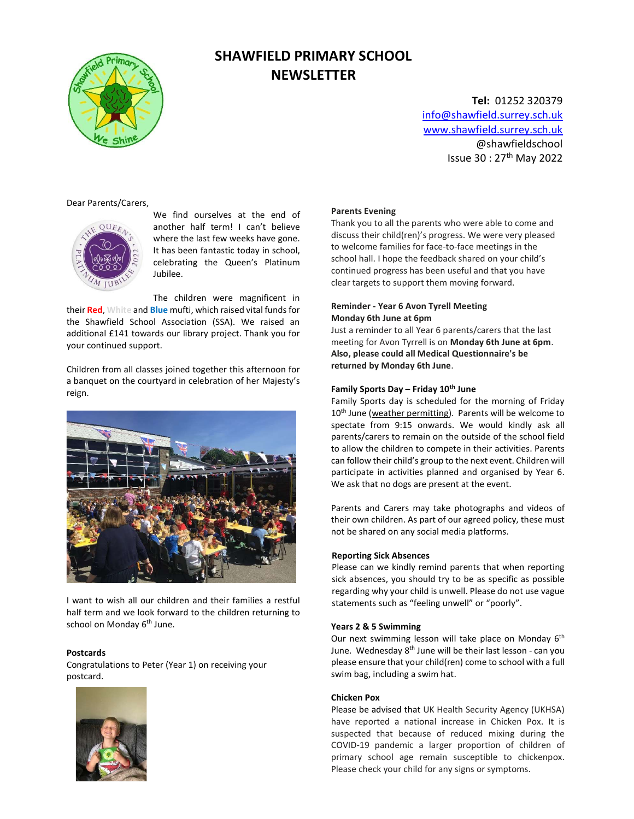

# SHAWFIELD PRIMARY SCHOOL **NEWSLETTER**

Tel: 01252 320379 info@shawfield.surrey.sch.uk www.shawfield.surrey.sch.uk @shawfieldschool Issue 30 : 27th May 2022

Dear Parents/Carers,



We find ourselves at the end of another half term! I can't believe where the last few weeks have gone. It has been fantastic today in school, celebrating the Queen's Platinum Jubilee.

The children were magnificent in their Red, White and Blue mufti, which raised vital funds for the Shawfield School Association (SSA). We raised an additional £141 towards our library project. Thank you for your continued support.

Children from all classes joined together this afternoon for a banquet on the courtyard in celebration of her Majesty's reign.



I want to wish all our children and their families a restful half term and we look forward to the children returning to school on Monday 6<sup>th</sup> June.

#### Postcards

Congratulations to Peter (Year 1) on receiving your postcard.



#### Parents Evening

Thank you to all the parents who were able to come and discuss their child(ren)'s progress. We were very pleased to welcome families for face-to-face meetings in the school hall. I hope the feedback shared on your child's continued progress has been useful and that you have clear targets to support them moving forward.

# Reminder - Year 6 Avon Tyrell Meeting Monday 6th June at 6pm

Just a reminder to all Year 6 parents/carers that the last meeting for Avon Tyrrell is on Monday 6th June at 6pm. Also, please could all Medical Questionnaire's be returned by Monday 6th June.

#### Family Sports Day – Friday  $10^{th}$  June

Family Sports day is scheduled for the morning of Friday 10<sup>th</sup> June (weather permitting). Parents will be welcome to spectate from 9:15 onwards. We would kindly ask all parents/carers to remain on the outside of the school field to allow the children to compete in their activities. Parents can follow their child's group to the next event. Children will participate in activities planned and organised by Year 6. We ask that no dogs are present at the event.

Parents and Carers may take photographs and videos of their own children. As part of our agreed policy, these must not be shared on any social media platforms.

#### Reporting Sick Absences

Please can we kindly remind parents that when reporting sick absences, you should try to be as specific as possible regarding why your child is unwell. Please do not use vague statements such as "feeling unwell" or "poorly".

#### Years 2 & 5 Swimming

Our next swimming lesson will take place on Monday  $6<sup>th</sup>$ June. Wednesday 8<sup>th</sup> June will be their last lesson - can you please ensure that your child(ren) come to school with a full swim bag, including a swim hat.

#### Chicken Pox

Please be advised that UK Health Security Agency (UKHSA) have reported a national increase in Chicken Pox. It is suspected that because of reduced mixing during the COVID-19 pandemic a larger proportion of children of primary school age remain susceptible to chickenpox. Please check your child for any signs or symptoms.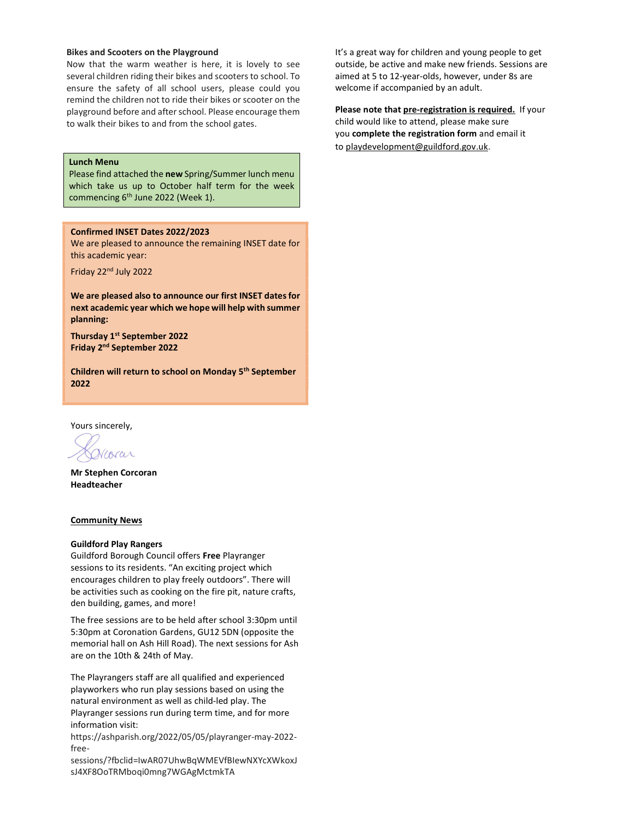# Bikes and Scooters on the Playground

Now that the warm weather is here, it is lovely to see several children riding their bikes and scooters to school. To ensure the safety of all school users, please could you remind the children not to ride their bikes or scooter on the playground before and after school. Please encourage them to walk their bikes to and from the school gates.

# Lunch Menu

Please find attached the new Spring/Summer lunch menu which take us up to October half term for the week commencing 6<sup>th</sup> June 2022 (Week 1).

# Confirmed INSET Dates 2022/2023

We are pleased to announce the remaining INSET date for this academic year:

Friday 22nd July 2022

We are pleased also to announce our first INSET dates for next academic year which we hope will help with summer planning:

Thursday 1<sup>st</sup> September 2022 Friday 2nd September 2022

Children will return to school on Monday 5th September 2022

Yours sincerely,

Vcorar

Mr Stephen Corcoran Headteacher

#### Community News

# Guildford Play Rangers

Guildford Borough Council offers Free Playranger sessions to its residents. "An exciting project which encourages children to play freely outdoors". There will be activities such as cooking on the fire pit, nature crafts, den building, games, and more!

The free sessions are to be held after school 3:30pm until 5:30pm at Coronation Gardens, GU12 5DN (opposite the memorial hall on Ash Hill Road). The next sessions for Ash are on the 10th & 24th of May.

The Playrangers staff are all qualified and experienced playworkers who run play sessions based on using the natural environment as well as child-led play. The Playranger sessions run during term time, and for more information visit:

https://ashparish.org/2022/05/05/playranger-may-2022 free-

sessions/?fbclid=IwAR07UhwBqWMEVfBIewNXYcXWkoxJ sJ4XF8OoTRMboqi0mng7WGAgMctmkTA

It's a great way for children and young people to get outside, be active and make new friends. Sessions are aimed at 5 to 12-year-olds, however, under 8s are welcome if accompanied by an adult.

Please note that pre-registration is required. If your child would like to attend, please make sure you complete the registration form and email it to playdevelopment@guildford.gov.uk.